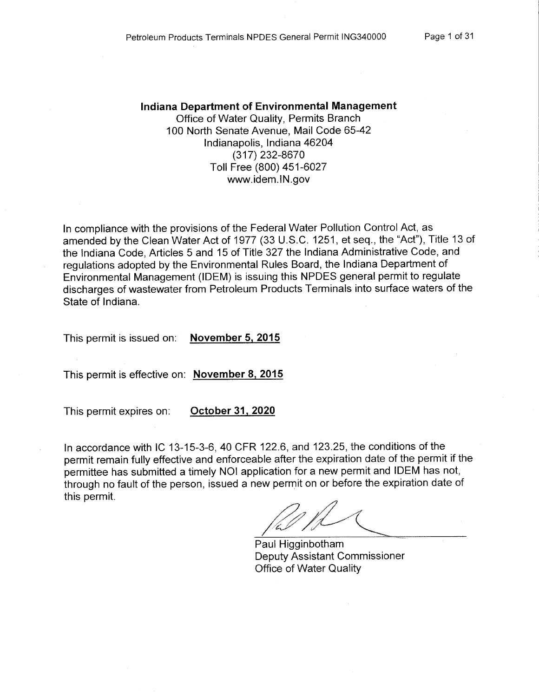#### Indiana Department of Environmental Management

Office of Water Quality, Permits Branch 100 North Senate Avenue, Mail Code 65-42 Indianapolis, Indiana 46204 (317) 232-8670 Toll Free (800) 451-6027 www.idem.IN.gov

In compliance with the provisions of the Federal Water Pollution Control Act, as amended by the Clean Water Act of 1977 (33 U.S.C. 1251, et seq., the "Act"), Title 13 of the Indiana Code, Articles 5 and 15 of Title 327 the Indiana Administrative Code, and regulations adopted by the Environmental Rules Board, the Indiana Department of Environmental Management (IDEM) is issuing this NPDES general permit to regulate discharges of wastewater from Petroleum Products Terminals into surface waters of the State of Indiana.

This permit is issued on: November 5, 2015

This permit is effective on: November 8, 2015

This permit expires on:

October 31, 2020

In accordance with IC 13-15-3-6, 40 CFR 122.6, and 123.25, the conditions of the permit remain fully effective and enforceable after the expiration date of the permit if the permittee has submitted a timely NOI application for a new permit and IDEM has not, through no fault of the person, issued a new permit on or before the expiration date of this permit.

Paul Higginbotham **Deputy Assistant Commissioner Office of Water Quality**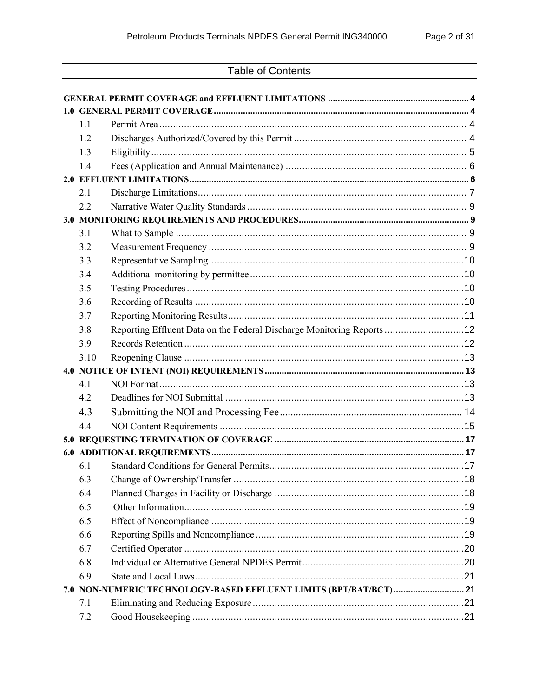# **Table of Contents**

| 1.1  |                                                                        |  |  |  |  |
|------|------------------------------------------------------------------------|--|--|--|--|
| 1.2  |                                                                        |  |  |  |  |
| 1.3  |                                                                        |  |  |  |  |
| 1.4  |                                                                        |  |  |  |  |
|      |                                                                        |  |  |  |  |
| 2.1  |                                                                        |  |  |  |  |
| 2.2  |                                                                        |  |  |  |  |
|      |                                                                        |  |  |  |  |
| 3.1  |                                                                        |  |  |  |  |
| 3.2  |                                                                        |  |  |  |  |
| 3.3  |                                                                        |  |  |  |  |
| 3.4  |                                                                        |  |  |  |  |
| 3.5  |                                                                        |  |  |  |  |
| 3.6  |                                                                        |  |  |  |  |
| 3.7  |                                                                        |  |  |  |  |
| 3.8  | Reporting Effluent Data on the Federal Discharge Monitoring Reports 12 |  |  |  |  |
| 3.9  |                                                                        |  |  |  |  |
| 3.10 |                                                                        |  |  |  |  |
|      |                                                                        |  |  |  |  |
| 4.1  |                                                                        |  |  |  |  |
| 4.2  |                                                                        |  |  |  |  |
| 4.3  |                                                                        |  |  |  |  |
| 4.4  |                                                                        |  |  |  |  |
|      |                                                                        |  |  |  |  |
|      |                                                                        |  |  |  |  |
| 6.1  |                                                                        |  |  |  |  |
| 6.3  |                                                                        |  |  |  |  |
| 6.4  |                                                                        |  |  |  |  |
| 6.5  |                                                                        |  |  |  |  |
| 6.5  |                                                                        |  |  |  |  |
| 6.6  |                                                                        |  |  |  |  |
| 6.7  |                                                                        |  |  |  |  |
| 6.8  |                                                                        |  |  |  |  |
| 6.9  |                                                                        |  |  |  |  |
|      | 7.0 NON-NUMERIC TECHNOLOGY-BASED EFFLUENT LIMITS (BPT/BAT/BCT)  21     |  |  |  |  |
| 7.1  |                                                                        |  |  |  |  |
| 7.2  |                                                                        |  |  |  |  |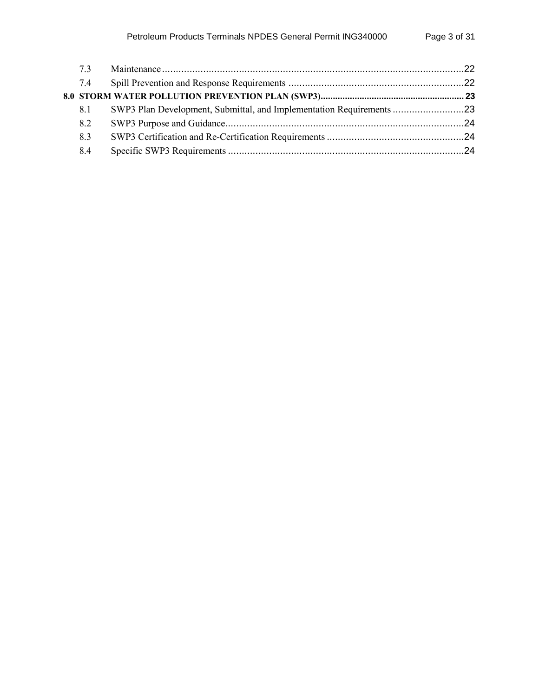| 73  |                                                                      |  |
|-----|----------------------------------------------------------------------|--|
| 7.4 |                                                                      |  |
|     |                                                                      |  |
| 8.1 | SWP3 Plan Development, Submittal, and Implementation Requirements 23 |  |
| 8.2 |                                                                      |  |
| 83  |                                                                      |  |
| 8.4 |                                                                      |  |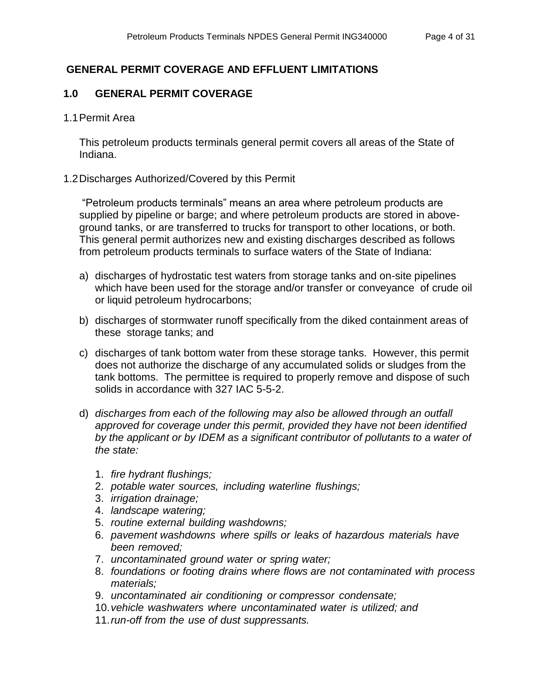## <span id="page-3-0"></span> **GENERAL PERMIT COVERAGE AND EFFLUENT LIMITATIONS**

## <span id="page-3-1"></span>**1.0 GENERAL PERMIT COVERAGE**

### <span id="page-3-2"></span>1.1 Permit Area

This petroleum products terminals general permit covers all areas of the State of Indiana.

### <span id="page-3-3"></span>1.2 Discharges Authorized/Covered by this Permit

"Petroleum products terminals" means an area where petroleum products are supplied by pipeline or barge; and where petroleum products are stored in aboveground tanks, or are transferred to trucks for transport to other locations, or both. This general permit authorizes new and existing discharges described as follows from petroleum products terminals to surface waters of the State of Indiana:

- a) discharges of hydrostatic test waters from storage tanks and on-site pipelines which have been used for the storage and/or transfer or conveyance of crude oil or liquid petroleum hydrocarbons;
- b) discharges of stormwater runoff specifically from the diked containment areas of these storage tanks; and
- c) discharges of tank bottom water from these storage tanks. However, this permit does not authorize the discharge of any accumulated solids or sludges from the tank bottoms. The permittee is required to properly remove and dispose of such solids in accordance with 327 IAC 5-5-2.
- d) *discharges from each of the following may also be allowed through an outfall approved for coverage under this permit, provided they have not been identified by the applicant or by IDEM as a significant contributor of pollutants to a water of the state:*
	- 1. *fire hydrant flushings;*
	- 2. *potable water sources, including waterline flushings;*
	- 3. *irrigation drainage;*
	- 4. *landscape watering;*
	- 5. *routine external building washdowns;*
	- 6. *pavement washdowns where spills or leaks of hazardous materials have been removed;*
	- 7. *uncontaminated ground water or spring water;*
	- 8. *foundations or footing drains where flows are not contaminated with process materials;*
	- 9. *uncontaminated air conditioning or compressor condensate;*
	- 10.*vehicle washwaters where uncontaminated water is utilized; and*
	- 11.*run-off from the use of dust suppressants.*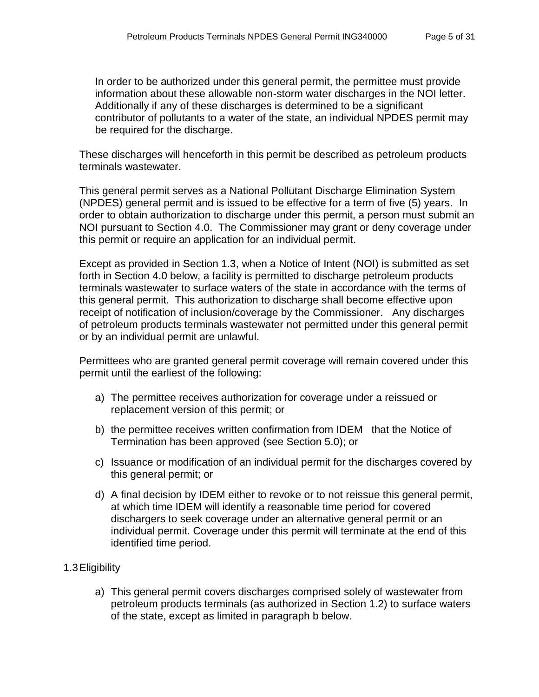In order to be authorized under this general permit, the permittee must provide information about these allowable non-storm water discharges in the NOI letter. Additionally if any of these discharges is determined to be a significant contributor of pollutants to a water of the state, an individual NPDES permit may be required for the discharge.

These discharges will henceforth in this permit be described as petroleum products terminals wastewater.

This general permit serves as a National Pollutant Discharge Elimination System (NPDES) general permit and is issued to be effective for a term of five (5) years. In order to obtain authorization to discharge under this permit, a person must submit an NOI pursuant to Section 4.0. The Commissioner may grant or deny coverage under this permit or require an application for an individual permit.

Except as provided in Section 1.3, when a Notice of Intent (NOI) is submitted as set forth in Section 4.0 below, a facility is permitted to discharge petroleum products terminals wastewater to surface waters of the state in accordance with the terms of this general permit. This authorization to discharge shall become effective upon receipt of notification of inclusion/coverage by the Commissioner. Any discharges of petroleum products terminals wastewater not permitted under this general permit or by an individual permit are unlawful.

Permittees who are granted general permit coverage will remain covered under this permit until the earliest of the following:

- a) The permittee receives authorization for coverage under a reissued or replacement version of this permit; or
- b) the permittee receives written confirmation from IDEM that the Notice of Termination has been approved (see Section 5.0); or
- c) Issuance or modification of an individual permit for the discharges covered by this general permit; or
- d) A final decision by IDEM either to revoke or to not reissue this general permit, at which time IDEM will identify a reasonable time period for covered dischargers to seek coverage under an alternative general permit or an individual permit. Coverage under this permit will terminate at the end of this identified time period.

## <span id="page-4-0"></span>1.3Eligibility

a) This general permit covers discharges comprised solely of wastewater from petroleum products terminals (as authorized in Section 1.2) to surface waters of the state, except as limited in paragraph b below.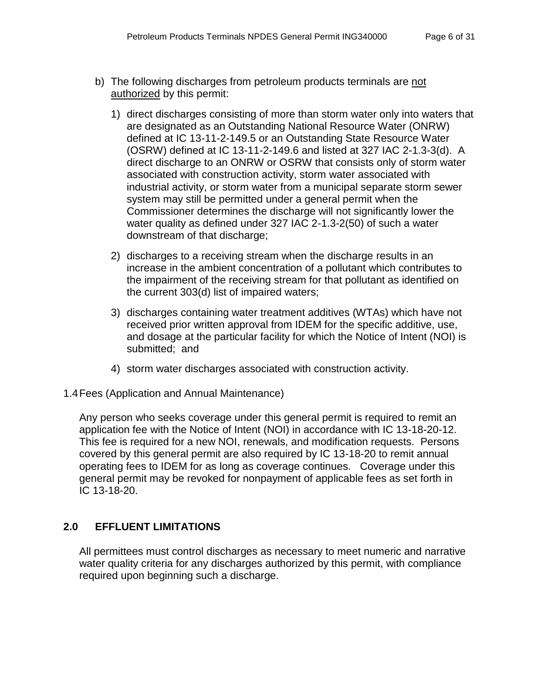- b) The following discharges from petroleum products terminals are not authorized by this permit:
	- 1) direct discharges consisting of more than storm water only into waters that are designated as an Outstanding National Resource Water (ONRW) defined at IC 13-11-2-149.5 or an Outstanding State Resource Water (OSRW) defined at IC 13-11-2-149.6 and listed at 327 IAC 2-1.3-3(d). A direct discharge to an ONRW or OSRW that consists only of storm water associated with construction activity, storm water associated with industrial activity, or storm water from a municipal separate storm sewer system may still be permitted under a general permit when the Commissioner determines the discharge will not significantly lower the water quality as defined under 327 IAC 2-1.3-2(50) of such a water downstream of that discharge;
	- 2) discharges to a receiving stream when the discharge results in an increase in the ambient concentration of a pollutant which contributes to the impairment of the receiving stream for that pollutant as identified on the current 303(d) list of impaired waters;
	- 3) discharges containing water treatment additives (WTAs) which have not received prior written approval from IDEM for the specific additive, use, and dosage at the particular facility for which the Notice of Intent (NOI) is submitted; and
	- 4) storm water discharges associated with construction activity.
- <span id="page-5-0"></span>1.4Fees (Application and Annual Maintenance)

Any person who seeks coverage under this general permit is required to remit an application fee with the Notice of Intent (NOI) in accordance with IC 13-18-20-12. This fee is required for a new NOI, renewals, and modification requests. Persons covered by this general permit are also required by IC 13-18-20 to remit annual operating fees to IDEM for as long as coverage continues. Coverage under this general permit may be revoked for nonpayment of applicable fees as set forth in IC 13-18-20.

## <span id="page-5-1"></span>**2.0 EFFLUENT LIMITATIONS**

All permittees must control discharges as necessary to meet numeric and narrative water quality criteria for any discharges authorized by this permit, with compliance required upon beginning such a discharge.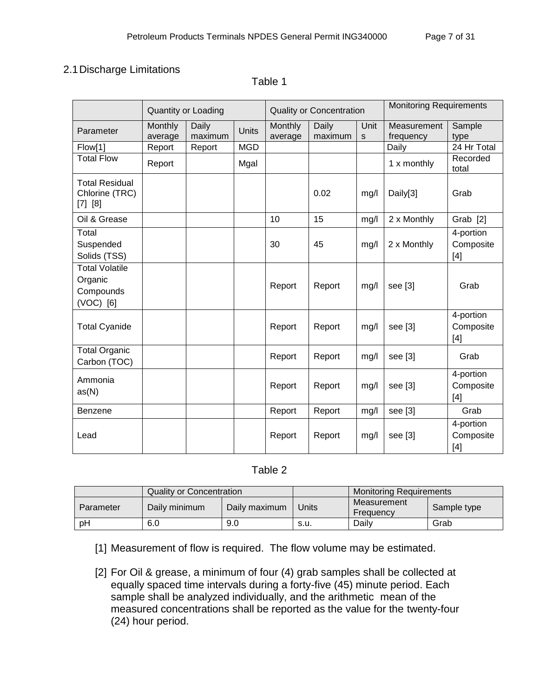## <span id="page-6-0"></span>2.1Discharge Limitations

|                                                            |                    | Quantity or Loading |            | <b>Quality or Concentration</b> |                  | <b>Monitoring Requirements</b> |                          |                                 |
|------------------------------------------------------------|--------------------|---------------------|------------|---------------------------------|------------------|--------------------------------|--------------------------|---------------------------------|
| Parameter                                                  | Monthly<br>average | Daily<br>maximum    | Units      | Monthly<br>average              | Daily<br>maximum | Unit<br>S                      | Measurement<br>frequency | Sample<br>type                  |
| Flow[1]                                                    | Report             | Report              | <b>MGD</b> |                                 |                  |                                | Daily                    | 24 Hr Total                     |
| <b>Total Flow</b>                                          | Report             |                     | Mgal       |                                 |                  |                                | 1 x monthly              | Recorded<br>total               |
| <b>Total Residual</b><br>Chlorine (TRC)<br>[7] [8]         |                    |                     |            |                                 | 0.02             | mg/l                           | Daily[3]                 | Grab                            |
| Oil & Grease                                               |                    |                     |            | 10                              | 15               | mg/l                           | 2 x Monthly              | Grab [2]                        |
| Total<br>Suspended<br>Solids (TSS)                         |                    |                     |            | 30                              | 45               | mg/l                           | 2 x Monthly              | 4-portion<br>Composite<br>$[4]$ |
| <b>Total Volatile</b><br>Organic<br>Compounds<br>(VOC) [6] |                    |                     |            | Report                          | Report           | mg/l                           | see $[3]$                | Grab                            |
| <b>Total Cyanide</b>                                       |                    |                     |            | Report                          | Report           | mg/l                           | see [3]                  | 4-portion<br>Composite<br>$[4]$ |
| <b>Total Organic</b><br>Carbon (TOC)                       |                    |                     |            | Report                          | Report           | mg/l                           | see [3]                  | Grab                            |
| Ammonia<br>as(N)                                           |                    |                     |            | Report                          | Report           | mg/l                           | see [3]                  | 4-portion<br>Composite<br>$[4]$ |
| Benzene                                                    |                    |                     |            | Report                          | Report           | mg/l                           | see [3]                  | Grab                            |
| Lead                                                       |                    |                     |            | Report                          | Report           | mg/l                           | see [3]                  | 4-portion<br>Composite<br>$[4]$ |

### Table 1

### Table 2

|           | Quality or Concentration |               |       | <b>Monitoring Requirements</b> |             |  |
|-----------|--------------------------|---------------|-------|--------------------------------|-------------|--|
| Parameter | Daily minimum            | Daily maximum | Units | Measurement<br>Frequency       | Sample type |  |
| pH        | 6.0                      | 9.0           | s.u.  | Dailv                          | Grab        |  |

[1] Measurement of flow is required. The flow volume may be estimated.

[2] For Oil & grease, a minimum of four (4) grab samples shall be collected at equally spaced time intervals during a forty-five (45) minute period. Each sample shall be analyzed individually, and the arithmetic mean of the measured concentrations shall be reported as the value for the twenty-four (24) hour period.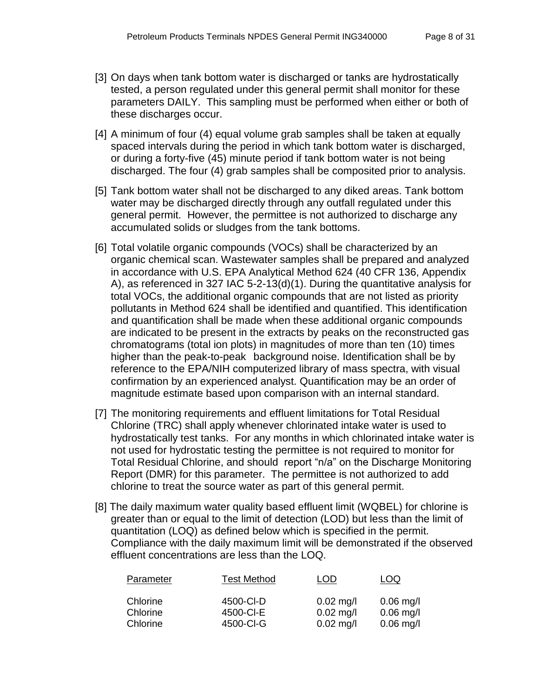- [3] On days when tank bottom water is discharged or tanks are hydrostatically tested, a person regulated under this general permit shall monitor for these parameters DAILY. This sampling must be performed when either or both of these discharges occur.
- [4] A minimum of four (4) equal volume grab samples shall be taken at equally spaced intervals during the period in which tank bottom water is discharged, or during a forty-five (45) minute period if tank bottom water is not being discharged. The four (4) grab samples shall be composited prior to analysis.
- [5] Tank bottom water shall not be discharged to any diked areas. Tank bottom water may be discharged directly through any outfall regulated under this general permit. However, the permittee is not authorized to discharge any accumulated solids or sludges from the tank bottoms.
- [6] Total volatile organic compounds (VOCs) shall be characterized by an organic chemical scan. Wastewater samples shall be prepared and analyzed in accordance with U.S. EPA Analytical Method 624 (40 CFR 136, Appendix A), as referenced in 327 IAC 5-2-13(d)(1). During the quantitative analysis for total VOCs, the additional organic compounds that are not listed as priority pollutants in Method 624 shall be identified and quantified. This identification and quantification shall be made when these additional organic compounds are indicated to be present in the extracts by peaks on the reconstructed gas chromatograms (total ion plots) in magnitudes of more than ten (10) times higher than the peak-to-peak background noise. Identification shall be by reference to the EPA/NIH computerized library of mass spectra, with visual confirmation by an experienced analyst. Quantification may be an order of magnitude estimate based upon comparison with an internal standard.
- [7] The monitoring requirements and effluent limitations for Total Residual Chlorine (TRC) shall apply whenever chlorinated intake water is used to hydrostatically test tanks. For any months in which chlorinated intake water is not used for hydrostatic testing the permittee is not required to monitor for Total Residual Chlorine, and should report "n/a" on the Discharge Monitoring Report (DMR) for this parameter. The permittee is not authorized to add chlorine to treat the source water as part of this general permit.
- [8] The daily maximum water quality based effluent limit (WQBEL) for chlorine is greater than or equal to the limit of detection (LOD) but less than the limit of quantitation (LOQ) as defined below which is specified in the permit. Compliance with the daily maximum limit will be demonstrated if the observed effluent concentrations are less than the LOQ.

| Parameter                        | <b>Test Method</b>                  | LOD                                       | LOQ                                       |
|----------------------------------|-------------------------------------|-------------------------------------------|-------------------------------------------|
| Chlorine<br>Chlorine<br>Chlorine | 4500-CI-D<br>4500-CI-E<br>4500-CI-G | $0.02$ mg/l<br>$0.02$ mg/l<br>$0.02$ mg/l | $0.06$ mg/l<br>$0.06$ mg/l<br>$0.06$ mg/l |
|                                  |                                     |                                           |                                           |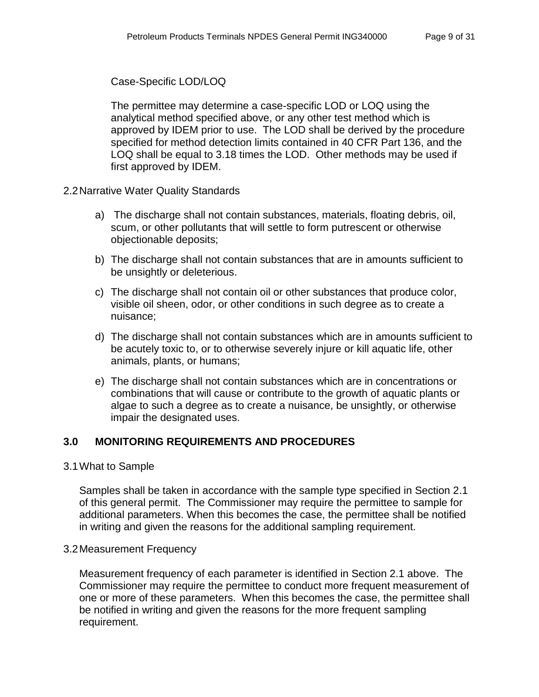### Case-Specific LOD/LOQ

The permittee may determine a case-specific LOD or LOQ using the analytical method specified above, or any other test method which is approved by IDEM prior to use. The LOD shall be derived by the procedure specified for method detection limits contained in 40 CFR Part 136, and the LOQ shall be equal to 3.18 times the LOD. Other methods may be used if first approved by IDEM.

- <span id="page-8-0"></span>2.2Narrative Water Quality Standards
	- a) The discharge shall not contain substances, materials, floating debris, oil, scum, or other pollutants that will settle to form putrescent or otherwise objectionable deposits;
	- b) The discharge shall not contain substances that are in amounts sufficient to be unsightly or deleterious.
	- c) The discharge shall not contain oil or other substances that produce color, visible oil sheen, odor, or other conditions in such degree as to create a nuisance;
	- d) The discharge shall not contain substances which are in amounts sufficient to be acutely toxic to, or to otherwise severely injure or kill aquatic life, other animals, plants, or humans;
	- e) The discharge shall not contain substances which are in concentrations or combinations that will cause or contribute to the growth of aquatic plants or algae to such a degree as to create a nuisance, be unsightly, or otherwise impair the designated uses.

## <span id="page-8-1"></span>**3.0 MONITORING REQUIREMENTS AND PROCEDURES**

### <span id="page-8-2"></span>3.1What to Sample

Samples shall be taken in accordance with the sample type specified in Section 2.1 of this general permit. The Commissioner may require the permittee to sample for additional parameters. When this becomes the case, the permittee shall be notified in writing and given the reasons for the additional sampling requirement.

### <span id="page-8-3"></span>3.2Measurement Frequency

Measurement frequency of each parameter is identified in Section 2.1 above. The Commissioner may require the permittee to conduct more frequent measurement of one or more of these parameters. When this becomes the case, the permittee shall be notified in writing and given the reasons for the more frequent sampling requirement.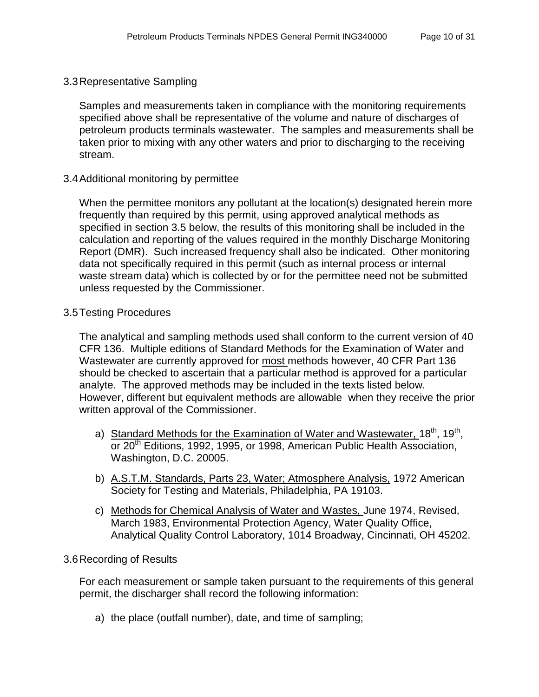<span id="page-9-0"></span>3.3Representative Sampling

Samples and measurements taken in compliance with the monitoring requirements specified above shall be representative of the volume and nature of discharges of petroleum products terminals wastewater. The samples and measurements shall be taken prior to mixing with any other waters and prior to discharging to the receiving stream.

#### <span id="page-9-1"></span>3.4Additional monitoring by permittee

When the permittee monitors any pollutant at the location(s) designated herein more frequently than required by this permit, using approved analytical methods as specified in section 3.5 below, the results of this monitoring shall be included in the calculation and reporting of the values required in the monthly Discharge Monitoring Report (DMR). Such increased frequency shall also be indicated. Other monitoring data not specifically required in this permit (such as internal process or internal waste stream data) which is collected by or for the permittee need not be submitted unless requested by the Commissioner.

#### <span id="page-9-2"></span>3.5Testing Procedures

The analytical and sampling methods used shall conform to the current version of 40 CFR 136. Multiple editions of Standard Methods for the Examination of Water and Wastewater are currently approved for most methods however, 40 CFR Part 136 should be checked to ascertain that a particular method is approved for a particular analyte. The approved methods may be included in the texts listed below. However, different but equivalent methods are allowable when they receive the prior written approval of the Commissioner.

- a) Standard Methods for the Examination of Water and Wastewater, 18<sup>th</sup>, 19<sup>th</sup>, or 20<sup>th</sup> Editions, 1992, 1995, or 1998, American Public Health Association, Washington, D.C. 20005.
- b) A.S.T.M. Standards, Parts 23, Water; Atmosphere Analysis, 1972 American Society for Testing and Materials, Philadelphia, PA 19103.
- c) Methods for Chemical Analysis of Water and Wastes, June 1974, Revised, March 1983, Environmental Protection Agency, Water Quality Office, Analytical Quality Control Laboratory, 1014 Broadway, Cincinnati, OH 45202.

### <span id="page-9-3"></span>3.6Recording of Results

For each measurement or sample taken pursuant to the requirements of this general permit, the discharger shall record the following information:

a) the place (outfall number), date, and time of sampling;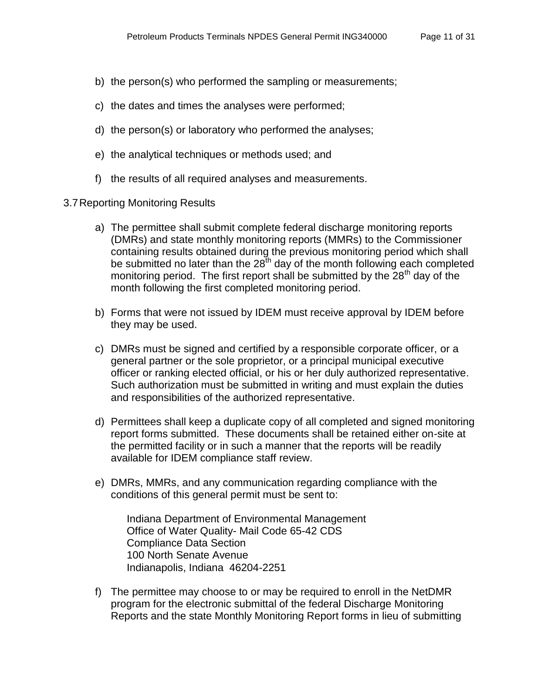- b) the person(s) who performed the sampling or measurements;
- c) the dates and times the analyses were performed;
- d) the person(s) or laboratory who performed the analyses;
- e) the analytical techniques or methods used; and
- f) the results of all required analyses and measurements.
- <span id="page-10-0"></span>3.7Reporting Monitoring Results
	- a) The permittee shall submit complete federal discharge monitoring reports (DMRs) and state monthly monitoring reports (MMRs) to the Commissioner containing results obtained during the previous monitoring period which shall be submitted no later than the  $28<sup>th</sup>$  day of the month following each completed monitoring period. The first report shall be submitted by the  $28<sup>th</sup>$  day of the month following the first completed monitoring period.
	- b) Forms that were not issued by IDEM must receive approval by IDEM before they may be used.
	- c) DMRs must be signed and certified by a responsible corporate officer, or a general partner or the sole proprietor, or a principal municipal executive officer or ranking elected official, or his or her duly authorized representative. Such authorization must be submitted in writing and must explain the duties and responsibilities of the authorized representative.
	- d) Permittees shall keep a duplicate copy of all completed and signed monitoring report forms submitted. These documents shall be retained either on-site at the permitted facility or in such a manner that the reports will be readily available for IDEM compliance staff review.
	- e) DMRs, MMRs, and any communication regarding compliance with the conditions of this general permit must be sent to:

Indiana Department of Environmental Management Office of Water Quality- Mail Code 65-42 CDS Compliance Data Section 100 North Senate Avenue Indianapolis, Indiana 46204-2251

f) The permittee may choose to or may be required to enroll in the NetDMR program for the electronic submittal of the federal Discharge Monitoring Reports and the state Monthly Monitoring Report forms in lieu of submitting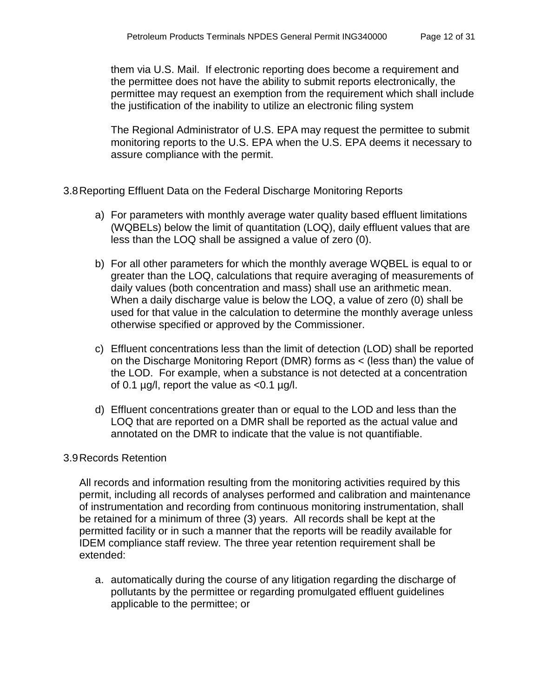them via U.S. Mail. If electronic reporting does become a requirement and the permittee does not have the ability to submit reports electronically, the permittee may request an exemption from the requirement which shall include the justification of the inability to utilize an electronic filing system

The Regional Administrator of U.S. EPA may request the permittee to submit monitoring reports to the U.S. EPA when the U.S. EPA deems it necessary to assure compliance with the permit.

## <span id="page-11-0"></span>3.8Reporting Effluent Data on the Federal Discharge Monitoring Reports

- a) For parameters with monthly average water quality based effluent limitations (WQBELs) below the limit of quantitation (LOQ), daily effluent values that are less than the LOQ shall be assigned a value of zero (0).
- b) For all other parameters for which the monthly average WQBEL is equal to or greater than the LOQ, calculations that require averaging of measurements of daily values (both concentration and mass) shall use an arithmetic mean. When a daily discharge value is below the LOQ, a value of zero (0) shall be used for that value in the calculation to determine the monthly average unless otherwise specified or approved by the Commissioner.
- c) Effluent concentrations less than the limit of detection (LOD) shall be reported on the Discharge Monitoring Report (DMR) forms as < (less than) the value of the LOD. For example, when a substance is not detected at a concentration of 0.1  $\mu$ g/l, report the value as <0.1  $\mu$ g/l.
- d) Effluent concentrations greater than or equal to the LOD and less than the LOQ that are reported on a DMR shall be reported as the actual value and annotated on the DMR to indicate that the value is not quantifiable.

### <span id="page-11-1"></span>3.9Records Retention

All records and information resulting from the monitoring activities required by this permit, including all records of analyses performed and calibration and maintenance of instrumentation and recording from continuous monitoring instrumentation, shall be retained for a minimum of three (3) years. All records shall be kept at the permitted facility or in such a manner that the reports will be readily available for IDEM compliance staff review. The three year retention requirement shall be extended:

a. automatically during the course of any litigation regarding the discharge of pollutants by the permittee or regarding promulgated effluent guidelines applicable to the permittee; or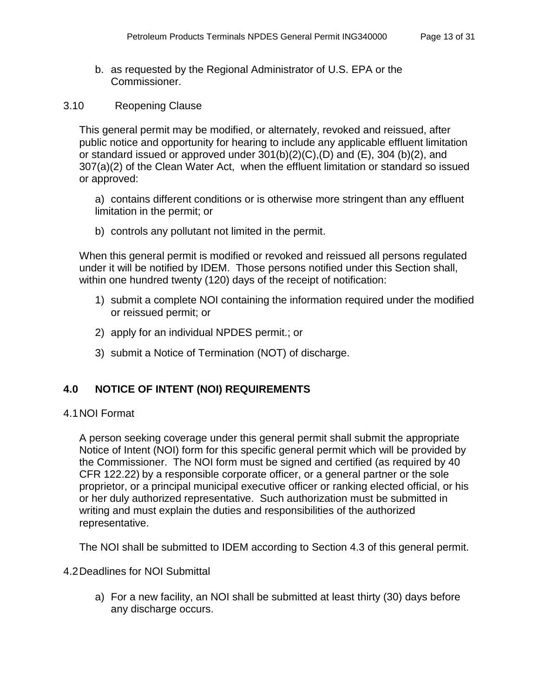b. as requested by the Regional Administrator of U.S. EPA or the Commissioner.

### <span id="page-12-0"></span>3.10 Reopening Clause

This general permit may be modified, or alternately, revoked and reissued, after public notice and opportunity for hearing to include any applicable effluent limitation or standard issued or approved under  $301(b)(2)(C)$ ,  $(D)$  and  $(E)$ ,  $304(b)(2)$ , and 307(a)(2) of the Clean Water Act, when the effluent limitation or standard so issued or approved:

a) contains different conditions or is otherwise more stringent than any effluent limitation in the permit; or

b) controls any pollutant not limited in the permit.

When this general permit is modified or revoked and reissued all persons regulated under it will be notified by IDEM. Those persons notified under this Section shall, within one hundred twenty (120) days of the receipt of notification:

- 1) submit a complete NOI containing the information required under the modified or reissued permit; or
- 2) apply for an individual NPDES permit.; or
- 3) submit a Notice of Termination (NOT) of discharge.

## <span id="page-12-1"></span>**4.0 NOTICE OF INTENT (NOI) REQUIREMENTS**

### <span id="page-12-2"></span>4.1NOI Format

A person seeking coverage under this general permit shall submit the appropriate Notice of Intent (NOI) form for this specific general permit which will be provided by the Commissioner. The NOI form must be signed and certified (as required by 40 CFR 122.22) by a responsible corporate officer, or a general partner or the sole proprietor, or a principal municipal executive officer or ranking elected official, or his or her duly authorized representative. Such authorization must be submitted in writing and must explain the duties and responsibilities of the authorized representative.

The NOI shall be submitted to IDEM according to Section 4.3 of this general permit.

### <span id="page-12-3"></span>4.2Deadlines for NOI Submittal

a) For a new facility, an NOI shall be submitted at least thirty (30) days before any discharge occurs.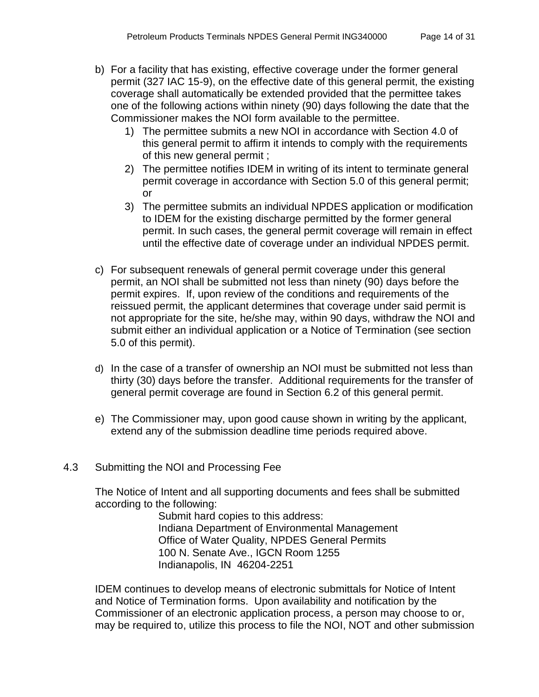- b) For a facility that has existing, effective coverage under the former general permit (327 IAC 15-9), on the effective date of this general permit, the existing coverage shall automatically be extended provided that the permittee takes one of the following actions within ninety (90) days following the date that the Commissioner makes the NOI form available to the permittee.
	- 1) The permittee submits a new NOI in accordance with Section 4.0 of this general permit to affirm it intends to comply with the requirements of this new general permit ;
	- 2) The permittee notifies IDEM in writing of its intent to terminate general permit coverage in accordance with Section 5.0 of this general permit; or
	- 3) The permittee submits an individual NPDES application or modification to IDEM for the existing discharge permitted by the former general permit. In such cases, the general permit coverage will remain in effect until the effective date of coverage under an individual NPDES permit.
- c) For subsequent renewals of general permit coverage under this general permit, an NOI shall be submitted not less than ninety (90) days before the permit expires. If, upon review of the conditions and requirements of the reissued permit, the applicant determines that coverage under said permit is not appropriate for the site, he/she may, within 90 days, withdraw the NOI and submit either an individual application or a Notice of Termination (see section 5.0 of this permit).
- d) In the case of a transfer of ownership an NOI must be submitted not less than thirty (30) days before the transfer. Additional requirements for the transfer of general permit coverage are found in Section 6.2 of this general permit.
- e) The Commissioner may, upon good cause shown in writing by the applicant, extend any of the submission deadline time periods required above.
- <span id="page-13-0"></span>4.3 Submitting the NOI and Processing Fee

The Notice of Intent and all supporting documents and fees shall be submitted according to the following:

> Submit hard copies to this address: Indiana Department of Environmental Management Office of Water Quality, NPDES General Permits 100 N. Senate Ave., IGCN Room 1255 Indianapolis, IN 46204-2251

IDEM continues to develop means of electronic submittals for Notice of Intent and Notice of Termination forms. Upon availability and notification by the Commissioner of an electronic application process, a person may choose to or, may be required to, utilize this process to file the NOI, NOT and other submission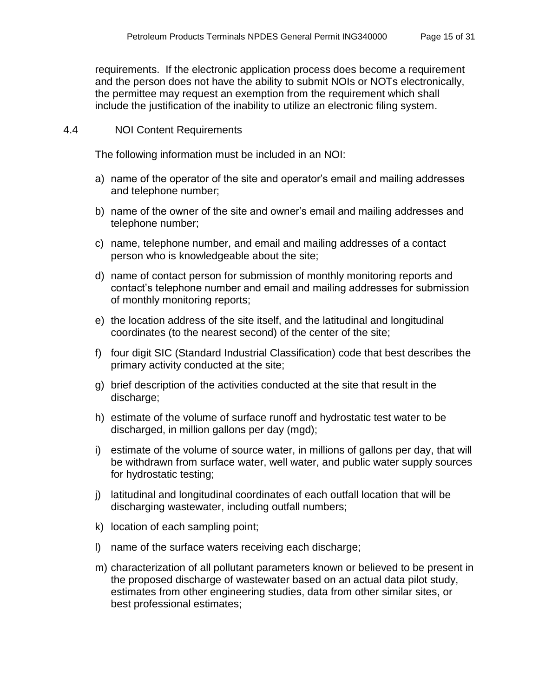requirements. If the electronic application process does become a requirement and the person does not have the ability to submit NOIs or NOTs electronically, the permittee may request an exemption from the requirement which shall include the justification of the inability to utilize an electronic filing system.

### <span id="page-14-0"></span>4.4 NOI Content Requirements

The following information must be included in an NOI:

- a) name of the operator of the site and operator's email and mailing addresses and telephone number;
- b) name of the owner of the site and owner's email and mailing addresses and telephone number;
- c) name, telephone number, and email and mailing addresses of a contact person who is knowledgeable about the site;
- d) name of contact person for submission of monthly monitoring reports and contact's telephone number and email and mailing addresses for submission of monthly monitoring reports;
- e) the location address of the site itself, and the latitudinal and longitudinal coordinates (to the nearest second) of the center of the site;
- f) four digit SIC (Standard Industrial Classification) code that best describes the primary activity conducted at the site;
- g) brief description of the activities conducted at the site that result in the discharge;
- h) estimate of the volume of surface runoff and hydrostatic test water to be discharged, in million gallons per day (mgd);
- i) estimate of the volume of source water, in millions of gallons per day, that will be withdrawn from surface water, well water, and public water supply sources for hydrostatic testing;
- j) latitudinal and longitudinal coordinates of each outfall location that will be discharging wastewater, including outfall numbers;
- k) location of each sampling point;
- l) name of the surface waters receiving each discharge;
- m) characterization of all pollutant parameters known or believed to be present in the proposed discharge of wastewater based on an actual data pilot study, estimates from other engineering studies, data from other similar sites, or best professional estimates;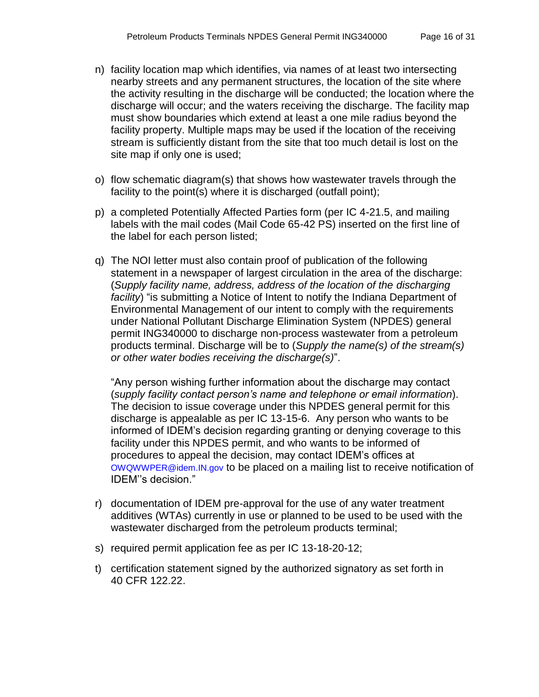- n) facility location map which identifies, via names of at least two intersecting nearby streets and any permanent structures, the location of the site where the activity resulting in the discharge will be conducted; the location where the discharge will occur; and the waters receiving the discharge. The facility map must show boundaries which extend at least a one mile radius beyond the facility property. Multiple maps may be used if the location of the receiving stream is sufficiently distant from the site that too much detail is lost on the site map if only one is used;
- o) flow schematic diagram(s) that shows how wastewater travels through the facility to the point(s) where it is discharged (outfall point);
- p) a completed Potentially Affected Parties form (per IC 4-21.5, and mailing labels with the mail codes (Mail Code 65-42 PS) inserted on the first line of the label for each person listed;
- q) The NOI letter must also contain proof of publication of the following statement in a newspaper of largest circulation in the area of the discharge: (*Supply facility name, address, address of the location of the discharging facility*) "is submitting a Notice of Intent to notify the Indiana Department of Environmental Management of our intent to comply with the requirements under National Pollutant Discharge Elimination System (NPDES) general permit ING340000 to discharge non-process wastewater from a petroleum products terminal. Discharge will be to (*Supply the name(s) of the stream(s) or other water bodies receiving the discharge(s)*".

"Any person wishing further information about the discharge may contact (*supply facility contact person's name and telephone or email information*). The decision to issue coverage under this NPDES general permit for this discharge is appealable as per IC 13-15-6. Any person who wants to be informed of IDEM's decision regarding granting or denying coverage to this facility under this NPDES permit, and who wants to be informed of procedures to appeal the decision, may contact IDEM's offices at [OWQWWPER@idem.IN.gov](mailto:OWQWWPER@idem.IN.gov) to be placed on a mailing list to receive notification of IDEM''s decision."

- r) documentation of IDEM pre-approval for the use of any water treatment additives (WTAs) currently in use or planned to be used to be used with the wastewater discharged from the petroleum products terminal;
- s) required permit application fee as per IC 13-18-20-12;
- t) certification statement signed by the authorized signatory as set forth in 40 CFR 122.22.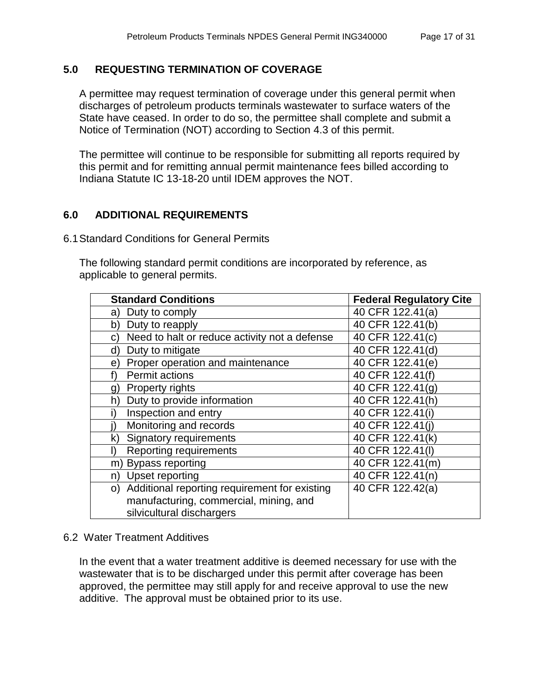## <span id="page-16-0"></span>**5.0 REQUESTING TERMINATION OF COVERAGE**

A permittee may request termination of coverage under this general permit when discharges of petroleum products terminals wastewater to surface waters of the State have ceased. In order to do so, the permittee shall complete and submit a Notice of Termination (NOT) according to Section 4.3 of this permit.

The permittee will continue to be responsible for submitting all reports required by this permit and for remitting annual permit maintenance fees billed according to Indiana Statute IC 13-18-20 until IDEM approves the NOT.

## <span id="page-16-1"></span>**6.0 ADDITIONAL REQUIREMENTS**

#### <span id="page-16-2"></span>6.1Standard Conditions for General Permits

The following standard permit conditions are incorporated by reference, as applicable to general permits.

| <b>Standard Conditions</b>                          | <b>Federal Regulatory Cite</b> |
|-----------------------------------------------------|--------------------------------|
| Duty to comply<br>a)                                | 40 CFR 122.41(a)               |
| Duty to reapply<br>b)                               | 40 CFR 122.41(b)               |
| Need to halt or reduce activity not a defense<br>C. | 40 CFR 122.41(c)               |
| Duty to mitigate<br>d)                              | 40 CFR 122.41(d)               |
| Proper operation and maintenance<br>e)              | 40 CFR 122.41(e)               |
| <b>Permit actions</b>                               | 40 CFR 122.41(f)               |
| <b>Property rights</b><br>g)                        | 40 CFR 122.41(g)               |
| Duty to provide information<br>h)                   | 40 CFR 122.41(h)               |
| Inspection and entry                                | 40 CFR 122.41(i)               |
| Monitoring and records                              | 40 CFR 122.41(i)               |
| Signatory requirements<br>k)                        | 40 CFR 122.41(k)               |
| <b>Reporting requirements</b>                       | 40 CFR 122.41(I)               |
| Bypass reporting<br>m)                              | 40 CFR 122.41(m)               |
| <b>Upset reporting</b><br>n)                        | 40 CFR 122.41(n)               |
| Additional reporting requirement for existing<br>O) | 40 CFR 122.42(a)               |
| manufacturing, commercial, mining, and              |                                |
| silvicultural dischargers                           |                                |

### 6.2 Water Treatment Additives

In the event that a water treatment additive is deemed necessary for use with the wastewater that is to be discharged under this permit after coverage has been approved, the permittee may still apply for and receive approval to use the new additive. The approval must be obtained prior to its use.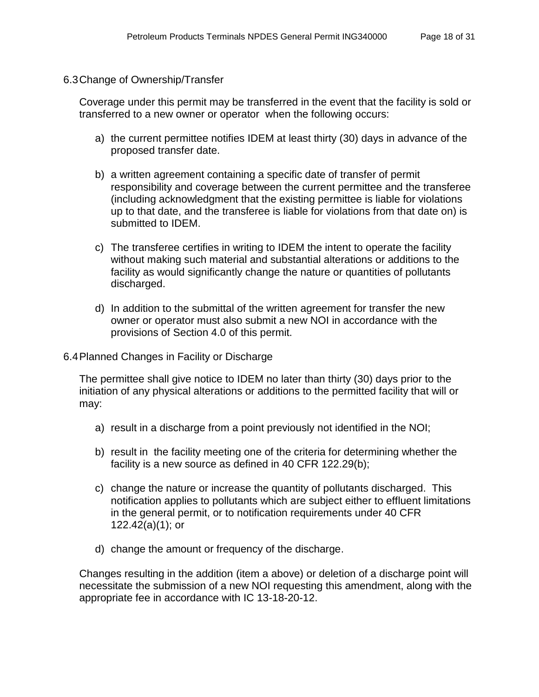<span id="page-17-0"></span>6.3Change of Ownership/Transfer

Coverage under this permit may be transferred in the event that the facility is sold or transferred to a new owner or operator when the following occurs:

- a) the current permittee notifies IDEM at least thirty (30) days in advance of the proposed transfer date.
- b) a written agreement containing a specific date of transfer of permit responsibility and coverage between the current permittee and the transferee (including acknowledgment that the existing permittee is liable for violations up to that date, and the transferee is liable for violations from that date on) is submitted to IDEM.
- c) The transferee certifies in writing to IDEM the intent to operate the facility without making such material and substantial alterations or additions to the facility as would significantly change the nature or quantities of pollutants discharged.
- d) In addition to the submittal of the written agreement for transfer the new owner or operator must also submit a new NOI in accordance with the provisions of Section 4.0 of this permit.
- <span id="page-17-1"></span>6.4Planned Changes in Facility or Discharge

The permittee shall give notice to IDEM no later than thirty (30) days prior to the initiation of any physical alterations or additions to the permitted facility that will or may:

- a) result in a discharge from a point previously not identified in the NOI;
- b) result in the facility meeting one of the criteria for determining whether the facility is a new source as defined in 40 CFR 122.29(b);
- c) change the nature or increase the quantity of pollutants discharged. This notification applies to pollutants which are subject either to effluent limitations in the general permit, or to notification requirements under 40 CFR 122.42(a)(1); or
- d) change the amount or frequency of the discharge.

Changes resulting in the addition (item a above) or deletion of a discharge point will necessitate the submission of a new NOI requesting this amendment, along with the appropriate fee in accordance with IC 13-18-20-12.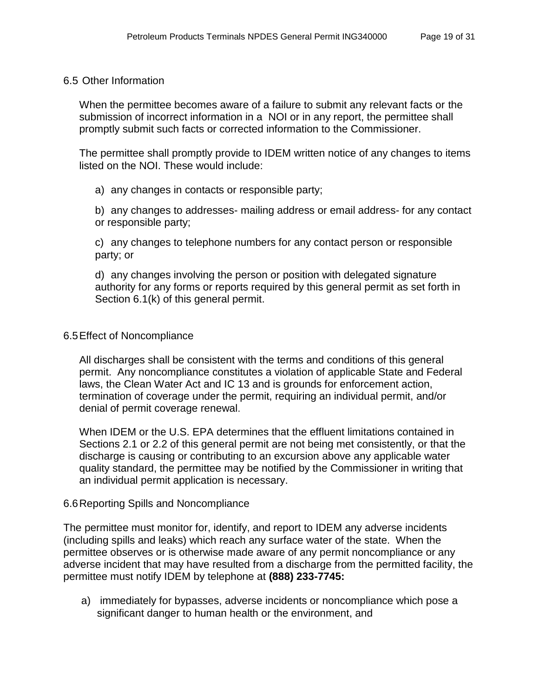#### <span id="page-18-0"></span>6.5 Other Information

When the permittee becomes aware of a failure to submit any relevant facts or the submission of incorrect information in a NOI or in any report, the permittee shall promptly submit such facts or corrected information to the Commissioner.

The permittee shall promptly provide to IDEM written notice of any changes to items listed on the NOI. These would include:

a) any changes in contacts or responsible party;

b) any changes to addresses- mailing address or email address- for any contact or responsible party;

c) any changes to telephone numbers for any contact person or responsible party; or

d) any changes involving the person or position with delegated signature authority for any forms or reports required by this general permit as set forth in Section 6.1(k) of this general permit.

#### <span id="page-18-1"></span>6.5Effect of Noncompliance

All discharges shall be consistent with the terms and conditions of this general permit. Any noncompliance constitutes a violation of applicable State and Federal laws, the Clean Water Act and IC 13 and is grounds for enforcement action, termination of coverage under the permit, requiring an individual permit, and/or denial of permit coverage renewal.

When IDEM or the U.S. EPA determines that the effluent limitations contained in Sections 2.1 or 2.2 of this general permit are not being met consistently, or that the discharge is causing or contributing to an excursion above any applicable water quality standard, the permittee may be notified by the Commissioner in writing that an individual permit application is necessary.

#### <span id="page-18-2"></span>6.6Reporting Spills and Noncompliance

The permittee must monitor for, identify, and report to IDEM any adverse incidents (including spills and leaks) which reach any surface water of the state. When the permittee observes or is otherwise made aware of any permit noncompliance or any adverse incident that may have resulted from a discharge from the permitted facility, the permittee must notify IDEM by telephone at **(888) 233-7745:**

a) immediately for bypasses, adverse incidents or noncompliance which pose a significant danger to human health or the environment, and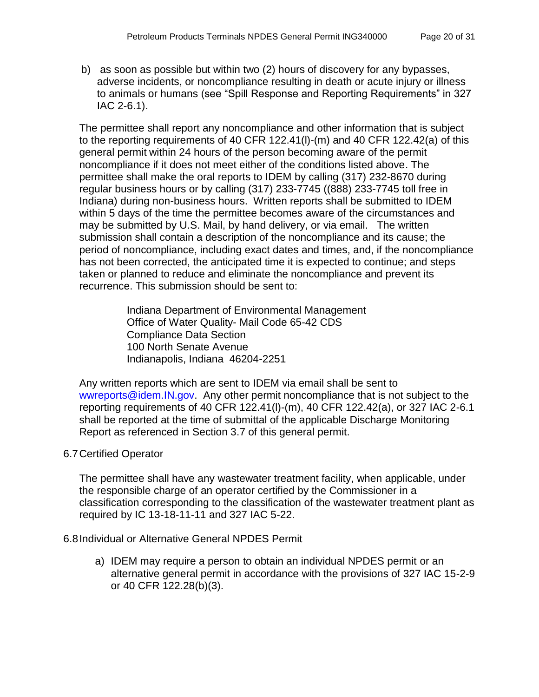b) as soon as possible but within two (2) hours of discovery for any bypasses, adverse incidents, or noncompliance resulting in death or acute injury or illness to animals or humans (see "Spill Response and Reporting Requirements" in 327 IAC 2-6.1).

The permittee shall report any noncompliance and other information that is subject to the reporting requirements of 40 CFR 122.41(l)-(m) and 40 CFR 122.42(a) of this general permit within 24 hours of the person becoming aware of the permit noncompliance if it does not meet either of the conditions listed above. The permittee shall make the oral reports to IDEM by calling (317) 232-8670 during regular business hours or by calling (317) 233-7745 ((888) 233-7745 toll free in Indiana) during non-business hours. Written reports shall be submitted to IDEM within 5 days of the time the permittee becomes aware of the circumstances and may be submitted by U.S. Mail, by hand delivery, or via email. The written submission shall contain a description of the noncompliance and its cause; the period of noncompliance, including exact dates and times, and, if the noncompliance has not been corrected, the anticipated time it is expected to continue; and steps taken or planned to reduce and eliminate the noncompliance and prevent its recurrence. This submission should be sent to:

> Indiana Department of Environmental Management Office of Water Quality- Mail Code 65-42 CDS Compliance Data Section 100 North Senate Avenue Indianapolis, Indiana 46204-2251

Any written reports which are sent to IDEM via email shall be sent to [wwreports@idem.IN.gov.](mailto:wwreports@idem.IN.gov) Any other permit noncompliance that is not subject to the reporting requirements of 40 CFR 122.41(l)-(m), 40 CFR 122.42(a), or 327 IAC 2-6.1 shall be reported at the time of submittal of the applicable Discharge Monitoring Report as referenced in Section 3.7 of this general permit.

## <span id="page-19-0"></span>6.7Certified Operator

The permittee shall have any wastewater treatment facility, when applicable, under the responsible charge of an operator certified by the Commissioner in a classification corresponding to the classification of the wastewater treatment plant as required by IC 13-18-11-11 and 327 IAC 5-22.

### <span id="page-19-1"></span>6.8Individual or Alternative General NPDES Permit

a) IDEM may require a person to obtain an individual NPDES permit or an alternative general permit in accordance with the provisions of 327 IAC 15-2-9 or 40 CFR 122.28(b)(3).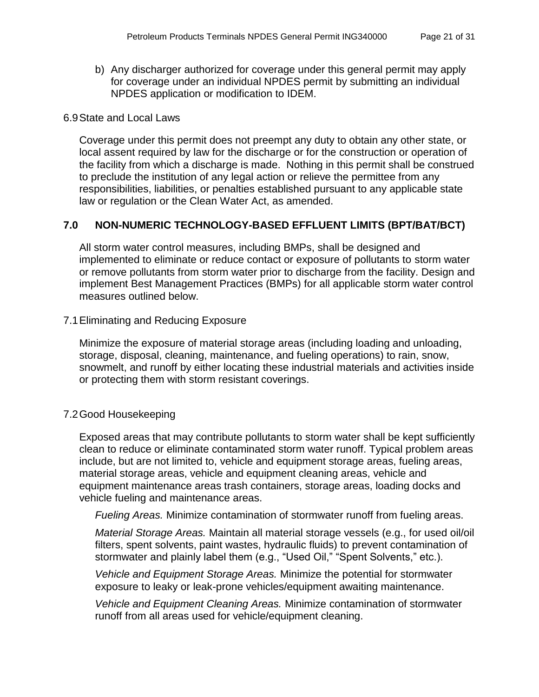b) Any discharger authorized for coverage under this general permit may apply for coverage under an individual NPDES permit by submitting an individual NPDES application or modification to IDEM.

#### <span id="page-20-0"></span>6.9State and Local Laws

Coverage under this permit does not preempt any duty to obtain any other state, or local assent required by law for the discharge or for the construction or operation of the facility from which a discharge is made. Nothing in this permit shall be construed to preclude the institution of any legal action or relieve the permittee from any responsibilities, liabilities, or penalties established pursuant to any applicable state law or regulation or the Clean Water Act, as amended.

### <span id="page-20-1"></span>**7.0 NON-NUMERIC TECHNOLOGY-BASED EFFLUENT LIMITS (BPT/BAT/BCT)**

All storm water control measures, including BMPs, shall be designed and implemented to eliminate or reduce contact or exposure of pollutants to storm water or remove pollutants from storm water prior to discharge from the facility. Design and implement Best Management Practices (BMPs) for all applicable storm water control measures outlined below.

#### <span id="page-20-2"></span>7.1Eliminating and Reducing Exposure

Minimize the exposure of material storage areas (including loading and unloading, storage, disposal, cleaning, maintenance, and fueling operations) to rain, snow, snowmelt, and runoff by either locating these industrial materials and activities inside or protecting them with storm resistant coverings.

### <span id="page-20-3"></span>7.2Good Housekeeping

Exposed areas that may contribute pollutants to storm water shall be kept sufficiently clean to reduce or eliminate contaminated storm water runoff. Typical problem areas include, but are not limited to, vehicle and equipment storage areas, fueling areas, material storage areas, vehicle and equipment cleaning areas, vehicle and equipment maintenance areas trash containers, storage areas, loading docks and vehicle fueling and maintenance areas.

*Fueling Areas.* Minimize contamination of stormwater runoff from fueling areas.

*Material Storage Areas.* Maintain all material storage vessels (e.g., for used oil/oil filters, spent solvents, paint wastes, hydraulic fluids) to prevent contamination of stormwater and plainly label them (e.g., "Used Oil," "Spent Solvents," etc.).

*Vehicle and Equipment Storage Areas.* Minimize the potential for stormwater exposure to leaky or leak-prone vehicles/equipment awaiting maintenance.

*Vehicle and Equipment Cleaning Areas.* Minimize contamination of stormwater runoff from all areas used for vehicle/equipment cleaning.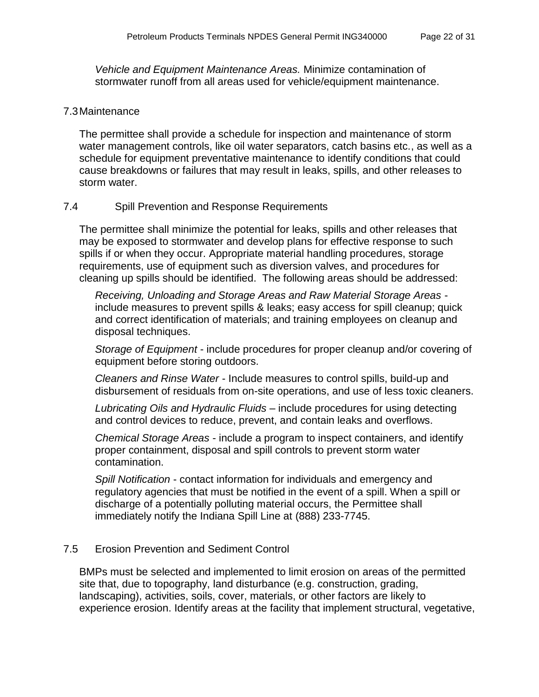*Vehicle and Equipment Maintenance Areas.* Minimize contamination of stormwater runoff from all areas used for vehicle/equipment maintenance.

#### <span id="page-21-0"></span>7.3Maintenance

The permittee shall provide a schedule for inspection and maintenance of storm water management controls, like oil water separators, catch basins etc., as well as a schedule for equipment preventative maintenance to identify conditions that could cause breakdowns or failures that may result in leaks, spills, and other releases to storm water.

#### <span id="page-21-1"></span>7.4 Spill Prevention and Response Requirements

The permittee shall minimize the potential for leaks, spills and other releases that may be exposed to stormwater and develop plans for effective response to such spills if or when they occur. Appropriate material handling procedures, storage requirements, use of equipment such as diversion valves, and procedures for cleaning up spills should be identified. The following areas should be addressed:

*Receiving, Unloading and Storage Areas and Raw Material Storage Areas* include measures to prevent spills & leaks; easy access for spill cleanup; quick and correct identification of materials; and training employees on cleanup and disposal techniques.

*Storage of Equipment* - include procedures for proper cleanup and/or covering of equipment before storing outdoors.

*Cleaners and Rinse Water* - Include measures to control spills, build-up and disbursement of residuals from on-site operations, and use of less toxic cleaners.

*Lubricating Oils and Hydraulic Fluids* – include procedures for using detecting and control devices to reduce, prevent, and contain leaks and overflows.

*Chemical Storage Areas* - include a program to inspect containers, and identify proper containment, disposal and spill controls to prevent storm water contamination.

*Spill Notification* - contact information for individuals and emergency and regulatory agencies that must be notified in the event of a spill. When a spill or discharge of a potentially polluting material occurs, the Permittee shall immediately notify the Indiana Spill Line at (888) 233-7745.

### 7.5 Erosion Prevention and Sediment Control

BMPs must be selected and implemented to limit erosion on areas of the permitted site that, due to topography, land disturbance (e.g. construction, grading, landscaping), activities, soils, cover, materials, or other factors are likely to experience erosion. Identify areas at the facility that implement structural, vegetative,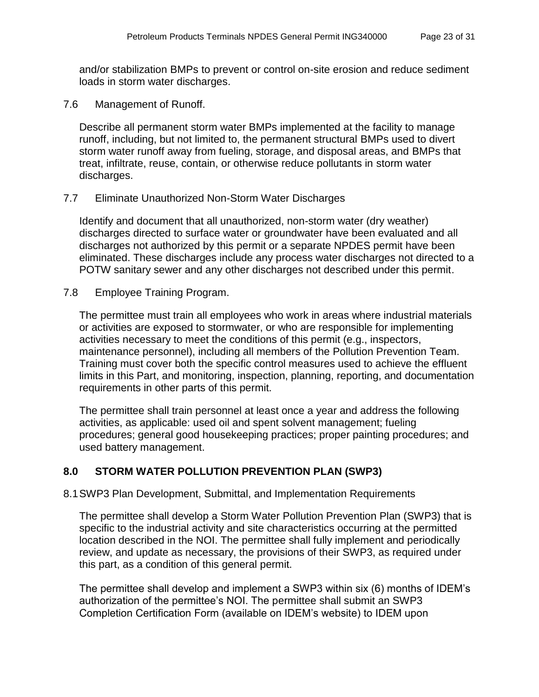and/or stabilization BMPs to prevent or control on-site erosion and reduce sediment loads in storm water discharges.

7.6 Management of Runoff.

Describe all permanent storm water BMPs implemented at the facility to manage runoff, including, but not limited to, the permanent structural BMPs used to divert storm water runoff away from fueling, storage, and disposal areas, and BMPs that treat, infiltrate, reuse, contain, or otherwise reduce pollutants in storm water discharges.

#### 7.7 Eliminate Unauthorized Non-Storm Water Discharges

Identify and document that all unauthorized, non-storm water (dry weather) discharges directed to surface water or groundwater have been evaluated and all discharges not authorized by this permit or a separate NPDES permit have been eliminated. These discharges include any process water discharges not directed to a POTW sanitary sewer and any other discharges not described under this permit.

7.8 Employee Training Program.

The permittee must train all employees who work in areas where industrial materials or activities are exposed to stormwater, or who are responsible for implementing activities necessary to meet the conditions of this permit (e.g., inspectors, maintenance personnel), including all members of the Pollution Prevention Team. Training must cover both the specific control measures used to achieve the effluent limits in this Part, and monitoring, inspection, planning, reporting, and documentation requirements in other parts of this permit.

The permittee shall train personnel at least once a year and address the following activities, as applicable: used oil and spent solvent management; fueling procedures; general good housekeeping practices; proper painting procedures; and used battery management.

## <span id="page-22-0"></span>**8.0 STORM WATER POLLUTION PREVENTION PLAN (SWP3)**

<span id="page-22-1"></span>8.1SWP3 Plan Development, Submittal, and Implementation Requirements

The permittee shall develop a Storm Water Pollution Prevention Plan (SWP3) that is specific to the industrial activity and site characteristics occurring at the permitted location described in the NOI. The permittee shall fully implement and periodically review, and update as necessary, the provisions of their SWP3, as required under this part, as a condition of this general permit.

The permittee shall develop and implement a SWP3 within six (6) months of IDEM's authorization of the permittee's NOI. The permittee shall submit an SWP3 Completion Certification Form (available on IDEM's website) to IDEM upon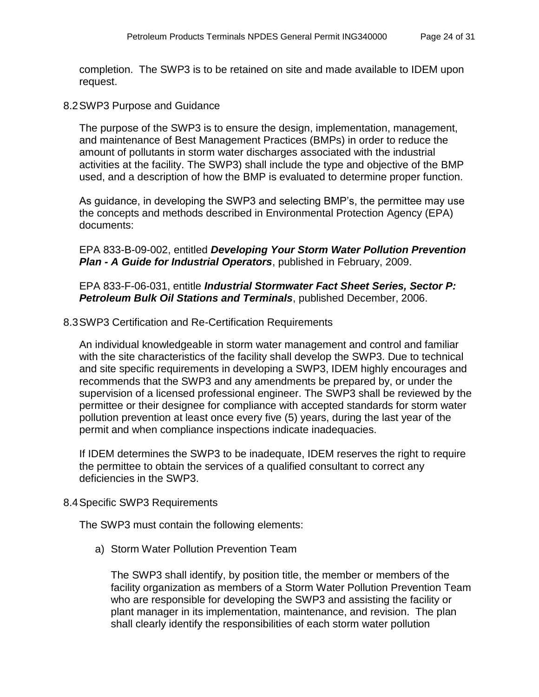completion. The SWP3 is to be retained on site and made available to IDEM upon request.

<span id="page-23-0"></span>8.2SWP3 Purpose and Guidance

The purpose of the SWP3 is to ensure the design, implementation, management, and maintenance of Best Management Practices (BMPs) in order to reduce the amount of pollutants in storm water discharges associated with the industrial activities at the facility. The SWP3) shall include the type and objective of the BMP used, and a description of how the BMP is evaluated to determine proper function.

As guidance, in developing the SWP3 and selecting BMP's, the permittee may use the concepts and methods described in Environmental Protection Agency (EPA) documents:

EPA 833-B-09-002, entitled *Developing Your Storm Water Pollution Prevention Plan - A Guide for Industrial Operators*, published in February, 2009.

EPA 833-F-06-031, entitle *Industrial Stormwater Fact Sheet Series, Sector P: Petroleum Bulk Oil Stations and Terminals*, published December, 2006.

### <span id="page-23-1"></span>8.3SWP3 Certification and Re-Certification Requirements

An individual knowledgeable in storm water management and control and familiar with the site characteristics of the facility shall develop the SWP3. Due to technical and site specific requirements in developing a SWP3, IDEM highly encourages and recommends that the SWP3 and any amendments be prepared by, or under the supervision of a licensed professional engineer. The SWP3 shall be reviewed by the permittee or their designee for compliance with accepted standards for storm water pollution prevention at least once every five (5) years, during the last year of the permit and when compliance inspections indicate inadequacies.

If IDEM determines the SWP3 to be inadequate, IDEM reserves the right to require the permittee to obtain the services of a qualified consultant to correct any deficiencies in the SWP3.

### <span id="page-23-2"></span>8.4Specific SWP3 Requirements

The SWP3 must contain the following elements:

a) Storm Water Pollution Prevention Team

The SWP3 shall identify, by position title, the member or members of the facility organization as members of a Storm Water Pollution Prevention Team who are responsible for developing the SWP3 and assisting the facility or plant manager in its implementation, maintenance, and revision. The plan shall clearly identify the responsibilities of each storm water pollution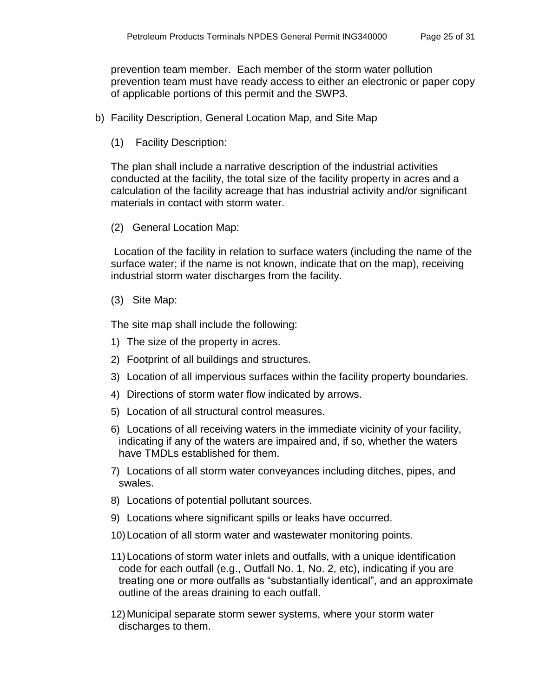prevention team member. Each member of the storm water pollution prevention team must have ready access to either an electronic or paper copy of applicable portions of this permit and the SWP3.

- b) Facility Description, General Location Map, and Site Map
	- (1) Facility Description:

The plan shall include a narrative description of the industrial activities conducted at the facility, the total size of the facility property in acres and a calculation of the facility acreage that has industrial activity and/or significant materials in contact with storm water.

(2) General Location Map:

Location of the facility in relation to surface waters (including the name of the surface water; if the name is not known, indicate that on the map), receiving industrial storm water discharges from the facility.

(3) Site Map:

The site map shall include the following:

- 1) The size of the property in acres.
- 2) Footprint of all buildings and structures.
- 3) Location of all impervious surfaces within the facility property boundaries.
- 4) Directions of storm water flow indicated by arrows.
- 5) Location of all structural control measures.
- 6) Locations of all receiving waters in the immediate vicinity of your facility, indicating if any of the waters are impaired and, if so, whether the waters have TMDLs established for them.
- 7) Locations of all storm water conveyances including ditches, pipes, and swales.
- 8) Locations of potential pollutant sources.
- 9) Locations where significant spills or leaks have occurred.
- 10)Location of all storm water and wastewater monitoring points.
- 11)Locations of storm water inlets and outfalls, with a unique identification code for each outfall (e.g., Outfall No. 1, No. 2, etc), indicating if you are treating one or more outfalls as "substantially identical", and an approximate outline of the areas draining to each outfall.
- 12)Municipal separate storm sewer systems, where your storm water discharges to them.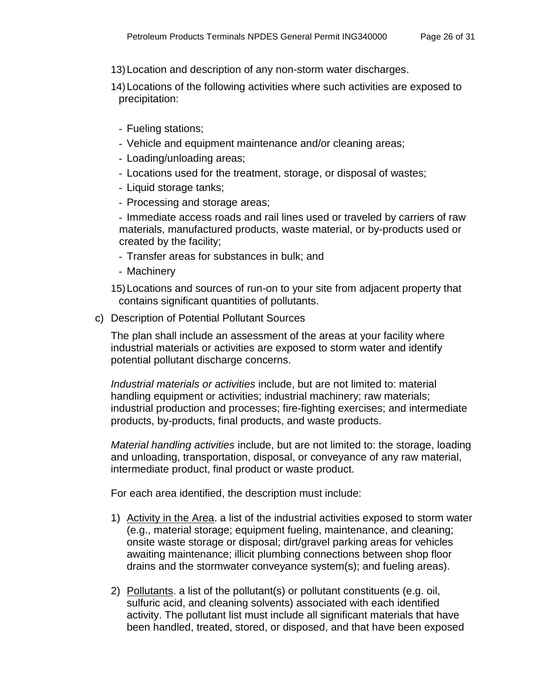- 13)Location and description of any non-storm water discharges.
- 14)Locations of the following activities where such activities are exposed to precipitation:
	- Fueling stations;
	- Vehicle and equipment maintenance and/or cleaning areas;
	- Loading/unloading areas;
	- Locations used for the treatment, storage, or disposal of wastes;
	- Liquid storage tanks;
	- Processing and storage areas;

- Immediate access roads and rail lines used or traveled by carriers of raw materials, manufactured products, waste material, or by-products used or created by the facility;

- Transfer areas for substances in bulk; and
- Machinery

15)Locations and sources of run-on to your site from adjacent property that contains significant quantities of pollutants.

c) Description of Potential Pollutant Sources

The plan shall include an assessment of the areas at your facility where industrial materials or activities are exposed to storm water and identify potential pollutant discharge concerns.

*Industrial materials or activities* include, but are not limited to: material handling equipment or activities; industrial machinery; raw materials; industrial production and processes; fire-fighting exercises; and intermediate products, by-products, final products, and waste products.

*Material handling activities* include, but are not limited to: the storage, loading and unloading, transportation, disposal, or conveyance of any raw material, intermediate product, final product or waste product.

For each area identified, the description must include:

- 1) Activity in the Area. a list of the industrial activities exposed to storm water (e.g., material storage; equipment fueling, maintenance, and cleaning; onsite waste storage or disposal; dirt/gravel parking areas for vehicles awaiting maintenance; illicit plumbing connections between shop floor drains and the stormwater conveyance system(s); and fueling areas).
- 2) Pollutants. a list of the pollutant(s) or pollutant constituents (e.g. oil, sulfuric acid, and cleaning solvents) associated with each identified activity. The pollutant list must include all significant materials that have been handled, treated, stored, or disposed, and that have been exposed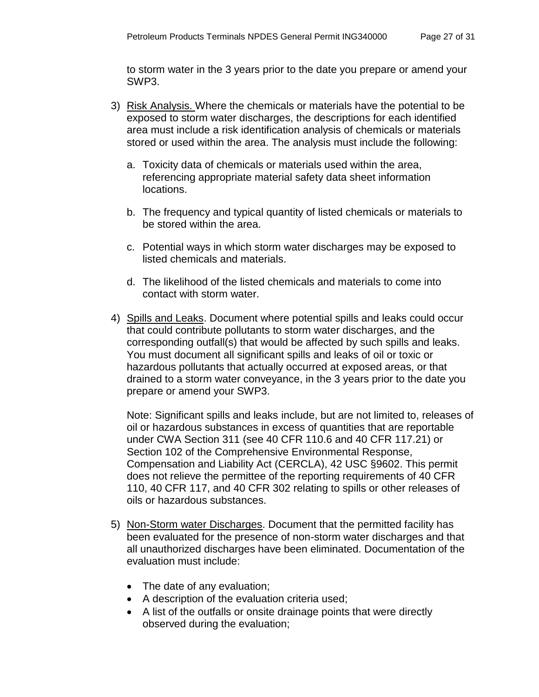to storm water in the 3 years prior to the date you prepare or amend your SWP3.

- 3) Risk Analysis. Where the chemicals or materials have the potential to be exposed to storm water discharges, the descriptions for each identified area must include a risk identification analysis of chemicals or materials stored or used within the area. The analysis must include the following:
	- a. Toxicity data of chemicals or materials used within the area, referencing appropriate material safety data sheet information locations.
	- b. The frequency and typical quantity of listed chemicals or materials to be stored within the area.
	- c. Potential ways in which storm water discharges may be exposed to listed chemicals and materials.
	- d. The likelihood of the listed chemicals and materials to come into contact with storm water.
- 4) Spills and Leaks. Document where potential spills and leaks could occur that could contribute pollutants to storm water discharges, and the corresponding outfall(s) that would be affected by such spills and leaks. You must document all significant spills and leaks of oil or toxic or hazardous pollutants that actually occurred at exposed areas, or that drained to a storm water conveyance, in the 3 years prior to the date you prepare or amend your SWP3.

Note: Significant spills and leaks include, but are not limited to, releases of oil or hazardous substances in excess of quantities that are reportable under CWA Section 311 (see 40 CFR 110.6 and 40 CFR 117.21) or Section 102 of the Comprehensive Environmental Response, Compensation and Liability Act (CERCLA), 42 USC §9602. This permit does not relieve the permittee of the reporting requirements of 40 CFR 110, 40 CFR 117, and 40 CFR 302 relating to spills or other releases of oils or hazardous substances.

- 5) Non-Storm water Discharges. Document that the permitted facility has been evaluated for the presence of non-storm water discharges and that all unauthorized discharges have been eliminated. Documentation of the evaluation must include:
	- The date of any evaluation;
	- A description of the evaluation criteria used;
	- A list of the outfalls or onsite drainage points that were directly observed during the evaluation;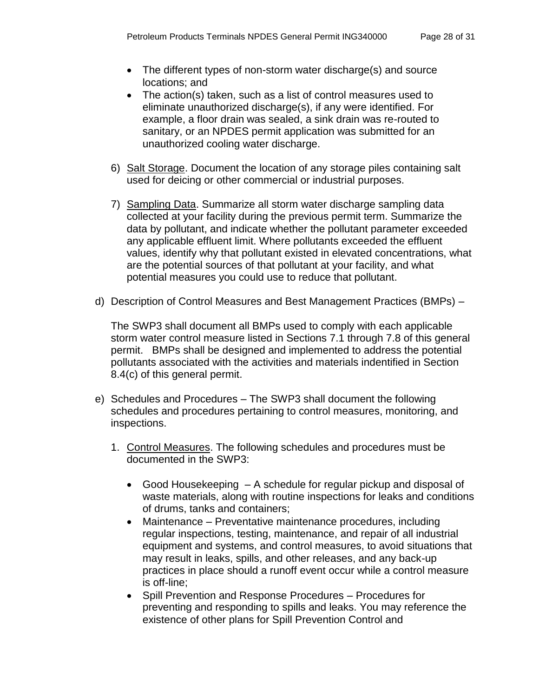- The different types of non-storm water discharge(s) and source locations; and
- The action(s) taken, such as a list of control measures used to eliminate unauthorized discharge(s), if any were identified. For example, a floor drain was sealed, a sink drain was re-routed to sanitary, or an NPDES permit application was submitted for an unauthorized cooling water discharge.
- 6) Salt Storage. Document the location of any storage piles containing salt used for deicing or other commercial or industrial purposes.
- 7) Sampling Data. Summarize all storm water discharge sampling data collected at your facility during the previous permit term. Summarize the data by pollutant, and indicate whether the pollutant parameter exceeded any applicable effluent limit. Where pollutants exceeded the effluent values, identify why that pollutant existed in elevated concentrations, what are the potential sources of that pollutant at your facility, and what potential measures you could use to reduce that pollutant.
- d) Description of Control Measures and Best Management Practices (BMPs) –

The SWP3 shall document all BMPs used to comply with each applicable storm water control measure listed in Sections 7.1 through 7.8 of this general permit. BMPs shall be designed and implemented to address the potential pollutants associated with the activities and materials indentified in Section 8.4(c) of this general permit.

- e) Schedules and Procedures The SWP3 shall document the following schedules and procedures pertaining to control measures, monitoring, and inspections.
	- 1. Control Measures. The following schedules and procedures must be documented in the SWP3:
		- Good Housekeeping A schedule for regular pickup and disposal of waste materials, along with routine inspections for leaks and conditions of drums, tanks and containers;
		- Maintenance Preventative maintenance procedures, including regular inspections, testing, maintenance, and repair of all industrial equipment and systems, and control measures, to avoid situations that may result in leaks, spills, and other releases, and any back-up practices in place should a runoff event occur while a control measure is off-line;
		- Spill Prevention and Response Procedures Procedures for preventing and responding to spills and leaks. You may reference the existence of other plans for Spill Prevention Control and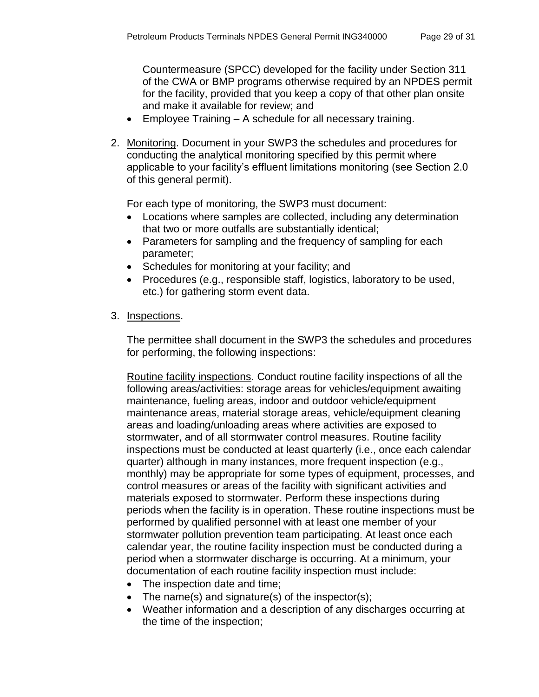Countermeasure (SPCC) developed for the facility under Section 311 of the CWA or BMP programs otherwise required by an NPDES permit for the facility, provided that you keep a copy of that other plan onsite and make it available for review; and

- Employee Training A schedule for all necessary training.
- 2. Monitoring. Document in your SWP3 the schedules and procedures for conducting the analytical monitoring specified by this permit where applicable to your facility's effluent limitations monitoring (see Section 2.0 of this general permit).

For each type of monitoring, the SWP3 must document:

- Locations where samples are collected, including any determination that two or more outfalls are substantially identical;
- Parameters for sampling and the frequency of sampling for each parameter;
- Schedules for monitoring at your facility; and
- Procedures (e.g., responsible staff, logistics, laboratory to be used, etc.) for gathering storm event data.
- 3. Inspections.

The permittee shall document in the SWP3 the schedules and procedures for performing, the following inspections:

Routine facility inspections. Conduct routine facility inspections of all the following areas/activities: storage areas for vehicles/equipment awaiting maintenance, fueling areas, indoor and outdoor vehicle/equipment maintenance areas, material storage areas, vehicle/equipment cleaning areas and loading/unloading areas where activities are exposed to stormwater, and of all stormwater control measures. Routine facility inspections must be conducted at least quarterly (i.e., once each calendar quarter) although in many instances, more frequent inspection (e.g., monthly) may be appropriate for some types of equipment, processes, and control measures or areas of the facility with significant activities and materials exposed to stormwater. Perform these inspections during periods when the facility is in operation. These routine inspections must be performed by qualified personnel with at least one member of your stormwater pollution prevention team participating. At least once each calendar year, the routine facility inspection must be conducted during a period when a stormwater discharge is occurring. At a minimum, your documentation of each routine facility inspection must include:

- The inspection date and time;
- The name(s) and signature(s) of the inspector(s);
- Weather information and a description of any discharges occurring at the time of the inspection;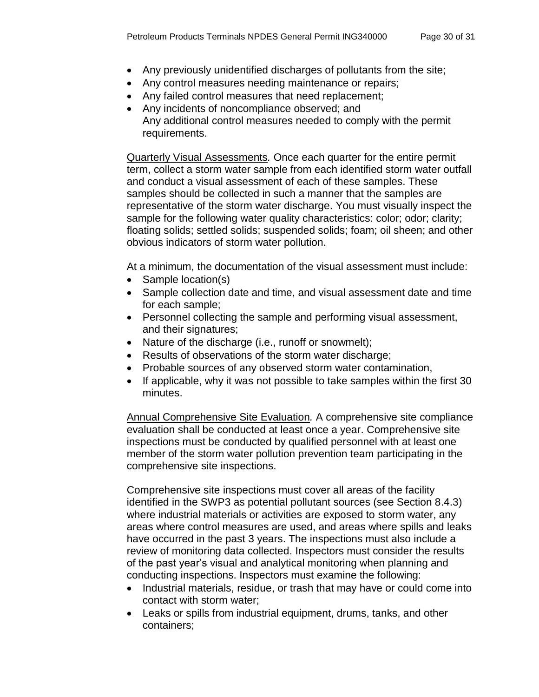- Any previously unidentified discharges of pollutants from the site;
- Any control measures needing maintenance or repairs;
- Any failed control measures that need replacement;
- Any incidents of noncompliance observed; and Any additional control measures needed to comply with the permit requirements.

Quarterly Visual Assessments*.* Once each quarter for the entire permit term, collect a storm water sample from each identified storm water outfall and conduct a visual assessment of each of these samples. These samples should be collected in such a manner that the samples are representative of the storm water discharge. You must visually inspect the sample for the following water quality characteristics: color; odor; clarity; floating solids; settled solids; suspended solids; foam; oil sheen; and other obvious indicators of storm water pollution.

At a minimum, the documentation of the visual assessment must include:

- Sample location(s)
- Sample collection date and time, and visual assessment date and time for each sample;
- Personnel collecting the sample and performing visual assessment, and their signatures;
- Nature of the discharge (i.e., runoff or snowmelt);
- Results of observations of the storm water discharge;
- Probable sources of any observed storm water contamination,
- If applicable, why it was not possible to take samples within the first 30 minutes.

Annual Comprehensive Site Evaluation*.* A comprehensive site compliance evaluation shall be conducted at least once a year. Comprehensive site inspections must be conducted by qualified personnel with at least one member of the storm water pollution prevention team participating in the comprehensive site inspections.

Comprehensive site inspections must cover all areas of the facility identified in the SWP3 as potential pollutant sources (see Section 8.4.3) where industrial materials or activities are exposed to storm water, any areas where control measures are used, and areas where spills and leaks have occurred in the past 3 years. The inspections must also include a review of monitoring data collected. Inspectors must consider the results of the past year's visual and analytical monitoring when planning and conducting inspections. Inspectors must examine the following:

- Industrial materials, residue, or trash that may have or could come into contact with storm water;
- Leaks or spills from industrial equipment, drums, tanks, and other containers;